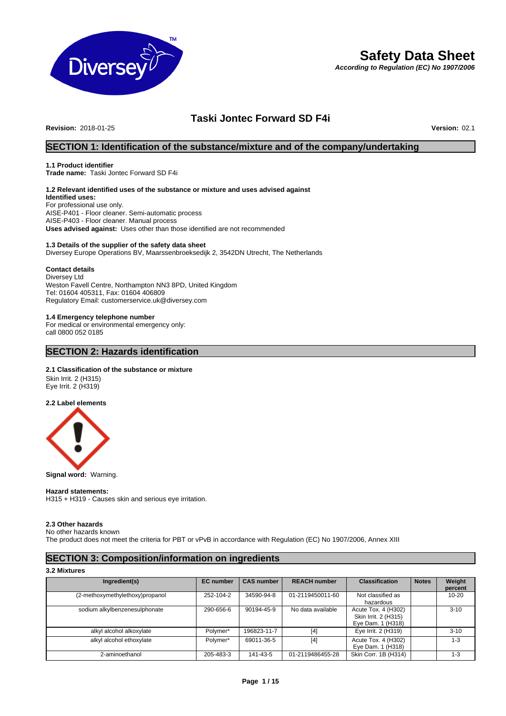

# **Safety Data Sheet**

*According to Regulation (EC) No 1907/2006*

# **Taski Jontec Forward SD F4i**

**Revision:** 2018-01-25 **Version:** 02.1

## **SECTION 1: Identification of the substance/mixture and of the company/undertaking**

#### **1.1 Product identifier**

**Trade name:** Taski Jontec Forward SD F4i

## **1.2 Relevant identified uses of the substance or mixture and uses advised against**

**Identified uses:** For professional use only. AISE-P401 - Floor cleaner. Semi-automatic process AISE-P403 - Floor cleaner. Manual process **Uses advised against:** Uses other than those identified are not recommended

#### **1.3 Details of the supplier of the safety data sheet**

Diversey Europe Operations BV, Maarssenbroeksedijk 2, 3542DN Utrecht, The Netherlands

#### **Contact details**

Diversey Ltd Weston Favell Centre, Northampton NN3 8PD, United Kingdom Tel: 01604 405311, Fax: 01604 406809 Regulatory Email: customerservice.uk@diversey.com

### **1.4 Emergency telephone number**

For medical or environmental emergency only: call 0800 052 0185

## **SECTION 2: Hazards identification**

#### **2.1 Classification of the substance or mixture**

Skin Irrit. 2 (H315) Eye Irrit. 2 (H319)

**2.2 Label elements**



**Signal word:** Warning.

#### **Hazard statements:**

H315 + H319 - Causes skin and serious eye irritation.

#### **2.3 Other hazards**

No other hazards known

The product does not meet the criteria for PBT or vPvB in accordance with Regulation (EC) No 1907/2006, Annex XIII

## **SECTION 3: Composition/information on ingredients**

#### **3.2 Mixtures**

| Ingredient(s)                   | <b>EC</b> number | <b>CAS number</b> | <b>REACH number</b> | <b>Classification</b>                                            | <b>Notes</b> | Weight<br>percent |
|---------------------------------|------------------|-------------------|---------------------|------------------------------------------------------------------|--------------|-------------------|
| (2-methoxymethylethoxy)propanol | 252-104-2        | 34590-94-8        | 01-2119450011-60    | Not classified as<br>hazardous                                   |              | $10 - 20$         |
| sodium alkylbenzenesulphonate   | 290-656-6        | 90194-45-9        | No data available   | Acute Tox. 4 (H302)<br>Skin Irrit. 2 (H315)<br>Eye Dam. 1 (H318) |              | $3 - 10$          |
| alkyl alcohol alkoxylate        | Polymer*         | 196823-11-7       | $[4]$               | Eye Irrit. 2 (H319)                                              |              | $3 - 10$          |
| alkyl alcohol ethoxylate        | Polymer*         | 69011-36-5        | [4]                 | Acute Tox. 4 (H302)<br>Eye Dam. 1 (H318)                         |              | 1-3               |
| 2-aminoethanol                  | 205-483-3        | 141-43-5          | 01-2119486455-28    | Skin Corr. 1B (H314)                                             |              | 1-3               |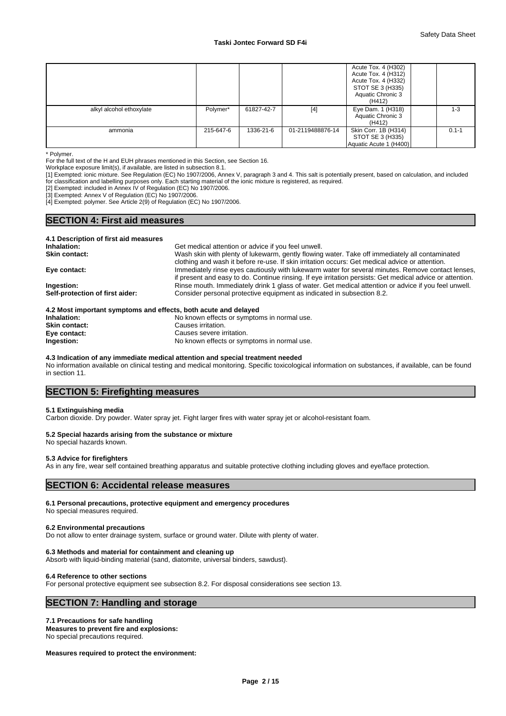| alkyl alcohol ethoxylate | Polymer*  | 61827-42-7 | $[4]$            | Acute Tox. 4 (H302)<br>Acute Tox. 4 (H312)<br>Acute Tox. 4 (H332)<br>STOT SE 3 (H335)<br>Aquatic Chronic 3<br>(H412)<br>Eye Dam. 1 (H318) | $1 - 3$   |
|--------------------------|-----------|------------|------------------|-------------------------------------------------------------------------------------------------------------------------------------------|-----------|
|                          |           |            |                  | Aquatic Chronic 3<br>(H412)                                                                                                               |           |
| ammonia                  | 215-647-6 | 1336-21-6  | 01-2119488876-14 | Skin Corr. 1B (H314)<br>STOT SE 3 (H335)<br>Aquatic Acute 1 (H400)                                                                        | $0.1 - 1$ |

\* Polymer.

For the full text of the H and EUH phrases mentioned in this Section, see Section 16.

Workplace exposure limit(s), if available, are listed in subsection 8.1.

[1] Exempted: ionic mixture. See Regulation (EC) No 1907/2006, Annex V, paragraph 3 and 4. This salt is potentially present, based on calculation, and included for classification and labelling purposes only. Each starting material of the ionic mixture is registered, as required.

[2] Exempted: included in Annex IV of Regulation (EC) No 1907/2006.

[3] Exempted: Annex V of Regulation (EC) No 1907/2006.

[4] Exempted: polymer. See Article 2(9) of Regulation (EC) No 1907/2006.

## **SECTION 4: First aid measures**

**4.1 Description of first aid measures Inhalation:** Get medical attention or advice if you feel unwell. **Skin contact:** Wash skin with plenty of lukewarm, gently flowing water. Take off immediately all contaminated clothing and wash it before re-use. If skin irritation occurs: Get medical advice or attention. **Eye contact:** Immediately rinse eyes cautiously with lukewarm water for several minutes. Remove contact lenses, if present and easy to do. Continue rinsing. If eye irritation persists: Get medical advice or attention. **Ingestion:** Rinse mouth. Immediately drink 1 glass of water. Get medical attention or advice if you feel unwell.<br> **Self-protection of first aider:** Consider personal protective equipment as indicated in subsection 8.2. **Self-protection of first aider:** Consider personal protective equipment as indicated in subsection 8.2. **4.2 Most important symptoms and effects, both acute and delayed Inhalation:** No known effects or symptoms in normal use.

| Inhalation:   | No known effects or symptoms in normal use. |
|---------------|---------------------------------------------|
| Skin contact: | Causes irritation.                          |
| Eye contact:  | Causes severe irritation.                   |
| Ingestion:    | No known effects or symptoms in normal use. |

#### **4.3 Indication of any immediate medical attention and special treatment needed**

No information available on clinical testing and medical monitoring. Specific toxicological information on substances, if available, can be found in section 11.

## **SECTION 5: Firefighting measures**

#### **5.1 Extinguishing media**

Carbon dioxide. Dry powder. Water spray jet. Fight larger fires with water spray jet or alcohol-resistant foam.

#### **5.2 Special hazards arising from the substance or mixture**

No special hazards known.

#### **5.3 Advice for firefighters**

As in any fire, wear self contained breathing apparatus and suitable protective clothing including gloves and eye/face protection.

### **SECTION 6: Accidental release measures**

#### **6.1 Personal precautions, protective equipment and emergency procedures**

No special measures required.

#### **6.2 Environmental precautions**

Do not allow to enter drainage system, surface or ground water. Dilute with plenty of water.

#### **6.3 Methods and material for containment and cleaning up**

Absorb with liquid-binding material (sand, diatomite, universal binders, sawdust).

#### **6.4 Reference to other sections**

For personal protective equipment see subsection 8.2. For disposal considerations see section 13.

## **SECTION 7: Handling and storage**

#### **7.1 Precautions for safe handling**

**Measures to prevent fire and explosions:**

No special precautions required.

**Measures required to protect the environment:**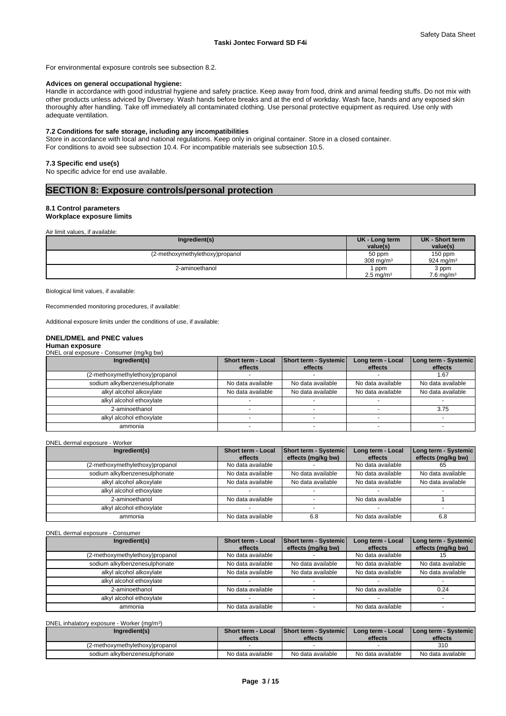For environmental exposure controls see subsection 8.2.

#### **Advices on general occupational hygiene:**

Handle in accordance with good industrial hygiene and safety practice. Keep away from food, drink and animal feeding stuffs. Do not mix with other products unless adviced by Diversey. Wash hands before breaks and at the end of workday. Wash face, hands and any exposed skin thoroughly after handling. Take off immediately all contaminated clothing. Use personal protective equipment as required. Use only with adequate ventilation.

#### **7.2 Conditions for safe storage, including any incompatibilities**

Store in accordance with local and national regulations. Keep only in original container. Store in a closed container. For conditions to avoid see subsection 10.4. For incompatible materials see subsection 10.5.

#### **7.3 Specific end use(s)**

No specific advice for end use available.

## **SECTION 8: Exposure controls/personal protection**

## **8.1 Control parameters**

**Workplace exposure limits**

Air limit values, if available:

| Ingredient(s)                   | UK - Long term<br>value(s)     | UK - Short term<br>value(s)      |
|---------------------------------|--------------------------------|----------------------------------|
| (2-methoxymethylethoxy)propanol | 50 ppm<br>$308 \text{ ma/m}^3$ | 150 ppm<br>924 mg/m <sup>3</sup> |
| 2-aminoethanol                  | l ppm<br>$2.5 \text{ mg/m}^3$  | 3 ppm<br>$7.6$ mg/m <sup>3</sup> |

Biological limit values, if available:

Recommended monitoring procedures, if available:

Additional exposure limits under the conditions of use, if available:

#### **DNEL/DMEL and PNEC values**

#### **Human exposure**

DNEL oral exposure - Consumer (mg/kg bw)

| Ingredient(s)                   | Short term - Local<br>effects | Short term - Systemic<br>effects | Long term - Local<br>effects | Long term - Systemic<br>effects |
|---------------------------------|-------------------------------|----------------------------------|------------------------------|---------------------------------|
| (2-methoxymethylethoxy)propanol |                               |                                  |                              | 1.67                            |
| sodium alkylbenzenesulphonate   | No data available             | No data available                | No data available            | No data available               |
| alkyl alcohol alkoxylate        | No data available             | No data available                | No data available            | No data available               |
| alkyl alcohol ethoxylate        |                               |                                  |                              |                                 |
| 2-aminoethanol                  |                               |                                  |                              | 3.75                            |
| alkyl alcohol ethoxylate        |                               |                                  |                              |                                 |
| ammonia                         |                               |                                  |                              |                                 |

DNEL dermal exposure - Worker

| Ingredient(s)                   | Short term - Local<br>effects | <b>Short term - Systemic</b><br>effects (mg/kg bw) | Long term - Local<br>effects | Long term - Systemic<br>effects (mg/kg bw) |
|---------------------------------|-------------------------------|----------------------------------------------------|------------------------------|--------------------------------------------|
| (2-methoxymethylethoxy)propanol | No data available             |                                                    | No data available            | 65                                         |
| sodium alkylbenzenesulphonate   | No data available             | No data available                                  | No data available            | No data available                          |
| alkyl alcohol alkoxylate        | No data available             | No data available                                  | No data available            | No data available                          |
| alkyl alcohol ethoxylate        |                               |                                                    |                              |                                            |
| 2-aminoethanol                  | No data available             |                                                    | No data available            |                                            |
| alkyl alcohol ethoxylate        |                               |                                                    |                              |                                            |
| ammonia                         | No data available             | 6.8                                                | No data available            | 6.8                                        |

DNEL dermal exposure - Consumer

| Ingredient(s)                   | <b>Short term - Local</b><br>effects | <b>Short term - Systemic</b><br>effects (mg/kg bw) | Long term - Local<br>effects | Long term - Systemic<br>effects (mg/kg bw) |
|---------------------------------|--------------------------------------|----------------------------------------------------|------------------------------|--------------------------------------------|
| (2-methoxymethylethoxy)propanol | No data available                    |                                                    | No data available            |                                            |
| sodium alkylbenzenesulphonate   | No data available                    | No data available                                  | No data available            | No data available                          |
| alkyl alcohol alkoxylate        | No data available                    | No data available                                  | No data available            | No data available                          |
| alkyl alcohol ethoxylate        |                                      |                                                    |                              |                                            |
| 2-aminoethanol                  | No data available                    |                                                    | No data available            | 0.24                                       |
| alkyl alcohol ethoxylate        |                                      |                                                    |                              |                                            |
| ammonia                         | No data available                    |                                                    | No data available            |                                            |

DNEL inhalatory exposure - Worker (mg/m<sup>3</sup> )

| Ingredient(s)                   | <b>Short term - Local</b><br>effects | <b>Short term - Systemic</b><br>effects | Long term - Local<br>effects | I Long term - Systemic I<br>effects |
|---------------------------------|--------------------------------------|-----------------------------------------|------------------------------|-------------------------------------|
| (2-methoxymethylethoxy)propanol |                                      |                                         |                              | 310                                 |
| sodium alkylbenzenesulphonate   | No data available                    | No data available                       | No data available            | No data available                   |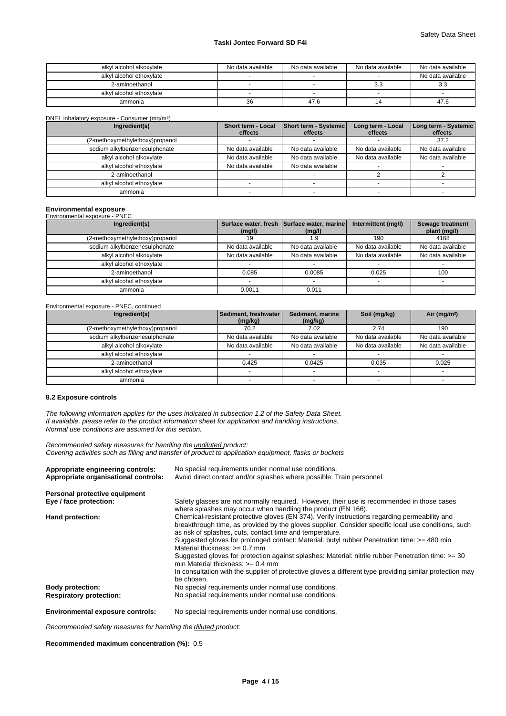| alkyl alcohol alkoxylate | No data available | No data available | No data available | No data available |
|--------------------------|-------------------|-------------------|-------------------|-------------------|
| alkyl alcohol ethoxylate |                   |                   |                   | No data available |
| 2-aminoethanol           |                   |                   | ა.ა               | ა.ა               |
| alkyl alcohol ethoxylate |                   |                   |                   |                   |
| ammonia                  | 36                | 47.6              |                   | 47.6              |

| DNEL inhalatory exposure - Consumer (mq/m <sup>3</sup> ) |                               |                                  |                              |                                 |  |  |
|----------------------------------------------------------|-------------------------------|----------------------------------|------------------------------|---------------------------------|--|--|
| Ingredient(s)                                            | Short term - Local<br>effects | Short term - Systemic<br>effects | Long term - Local<br>effects | Long term - Systemic<br>effects |  |  |
| (2-methoxymethylethoxy)propanol                          |                               |                                  |                              | 37.2                            |  |  |
| sodium alkylbenzenesulphonate                            | No data available             | No data available                | No data available            | No data available               |  |  |
| alkyl alcohol alkoxylate                                 | No data available             | No data available                | No data available            | No data available               |  |  |
| alkyl alcohol ethoxylate                                 | No data available             | No data available                |                              |                                 |  |  |
| 2-aminoethanol                                           |                               |                                  |                              |                                 |  |  |
| alkyl alcohol ethoxylate                                 |                               |                                  |                              |                                 |  |  |
| ammonia                                                  |                               |                                  |                              |                                 |  |  |

## **Environmental exposure**

| Environmental exposure - PNEC   |                   |                                                      |                     |                                  |
|---------------------------------|-------------------|------------------------------------------------------|---------------------|----------------------------------|
| Ingredient(s)                   | (mg/l)            | Surface water, fresh Surface water, marine<br>(mg/l) | Intermittent (mg/l) | Sewage treatment<br>plant (mg/l) |
| (2-methoxymethylethoxy)propanol | 19                | .9                                                   | 190                 | 4168                             |
| sodium alkylbenzenesulphonate   | No data available | No data available                                    | No data available   | No data available                |
| alkyl alcohol alkoxylate        | No data available | No data available                                    | No data available   | No data available                |
| alkyl alcohol ethoxylate        |                   |                                                      |                     |                                  |
| 2-aminoethanol                  | 0.085             | 0.0085                                               | 0.025               | 100                              |
| alkyl alcohol ethoxylate        |                   |                                                      |                     |                                  |
| ammonia                         | 0.0011            | 0.011                                                |                     |                                  |

#### Environmental exposure - PNEC, continued

| Ingredient(s)                   | Sediment, freshwater<br>(mg/kg) | Sediment, marine<br>(mg/kg) | Soil (mg/kg)      | Air ( $mg/m3$ )   |
|---------------------------------|---------------------------------|-----------------------------|-------------------|-------------------|
| (2-methoxymethylethoxy)propanol | 70.2                            | 7.02                        | 2.74              | 190               |
| sodium alkylbenzenesulphonate   | No data available               | No data available           | No data available | No data available |
| alkyl alcohol alkoxylate        | No data available               | No data available           | No data available | No data available |
| alkyl alcohol ethoxylate        |                                 |                             |                   |                   |
| 2-aminoethanol                  | 0.425                           | 0.0425                      | 0.035             | 0.025             |
| alkyl alcohol ethoxylate        |                                 |                             |                   |                   |
| ammonia                         |                                 |                             |                   |                   |

## **8.2 Exposure controls**

*The following information applies for the uses indicated in subsection 1.2 of the Safety Data Sheet. If available, please refer to the product information sheet for application and handling instructions. Normal use conditions are assumed for this section.*

*Recommended safety measures for handling the undiluted product: Covering activities such as filling and transfer of product to application equipment, flasks or buckets*

| Appropriate engineering controls:       | No special requirements under normal use conditions.                                                                                                                                                                                                                                                                                                                                                                                                                                                                                                                                                                                                                       |
|-----------------------------------------|----------------------------------------------------------------------------------------------------------------------------------------------------------------------------------------------------------------------------------------------------------------------------------------------------------------------------------------------------------------------------------------------------------------------------------------------------------------------------------------------------------------------------------------------------------------------------------------------------------------------------------------------------------------------------|
| Appropriate organisational controls:    | Avoid direct contact and/or splashes where possible. Train personnel.                                                                                                                                                                                                                                                                                                                                                                                                                                                                                                                                                                                                      |
| Personal protective equipment           |                                                                                                                                                                                                                                                                                                                                                                                                                                                                                                                                                                                                                                                                            |
| Eye / face protection:                  | Safety glasses are not normally required. However, their use is recommended in those cases<br>where splashes may occur when handling the product (EN 166).                                                                                                                                                                                                                                                                                                                                                                                                                                                                                                                 |
| Hand protection:                        | Chemical-resistant protective gloves (EN 374). Verify instructions regarding permeability and<br>breakthrough time, as provided by the gloves supplier. Consider specific local use conditions, such<br>as risk of splashes, cuts, contact time and temperature.<br>Suggested gloves for prolonged contact: Material: butyl rubber Penetration time: >= 480 min<br>Material thickness: $>= 0.7$ mm<br>Suggested gloves for protection against splashes: Material: nitrile rubber Penetration time: >= 30<br>min Material thickness: $> = 0.4$ mm<br>In consultation with the supplier of protective gloves a different type providing similar protection may<br>be chosen. |
| <b>Body protection:</b>                 | No special requirements under normal use conditions.                                                                                                                                                                                                                                                                                                                                                                                                                                                                                                                                                                                                                       |
| <b>Respiratory protection:</b>          | No special requirements under normal use conditions.                                                                                                                                                                                                                                                                                                                                                                                                                                                                                                                                                                                                                       |
| <b>Environmental exposure controls:</b> | No special requirements under normal use conditions.                                                                                                                                                                                                                                                                                                                                                                                                                                                                                                                                                                                                                       |

*Recommended safety measures for handling the diluted product:*

### **Recommended maximum concentration (%):** 0.5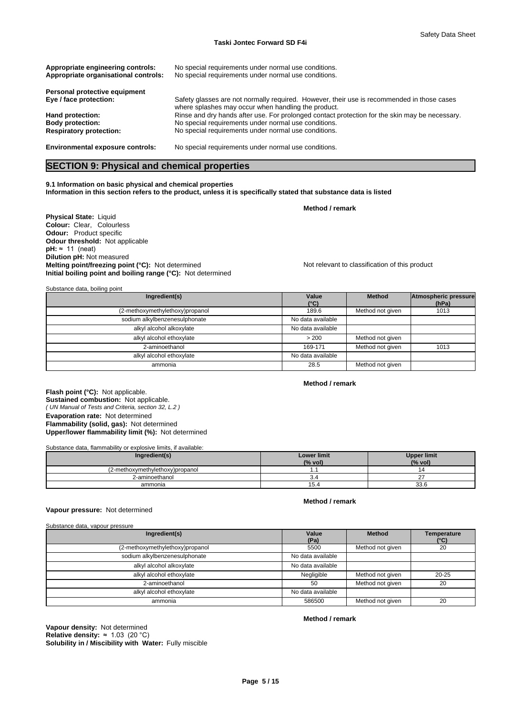| Appropriate engineering controls:<br>Appropriate organisational controls: | No special requirements under normal use conditions.<br>No special requirements under normal use conditions.                                      |
|---------------------------------------------------------------------------|---------------------------------------------------------------------------------------------------------------------------------------------------|
| Personal protective equipment                                             |                                                                                                                                                   |
| Eye / face protection:                                                    | Safety glasses are not normally required. However, their use is recommended in those cases<br>where splashes may occur when handling the product. |
| Hand protection:                                                          | Rinse and dry hands after use. For prolonged contact protection for the skin may be necessary.                                                    |
| <b>Body protection:</b>                                                   | No special requirements under normal use conditions.                                                                                              |
| <b>Respiratory protection:</b>                                            | No special requirements under normal use conditions.                                                                                              |
| <b>Environmental exposure controls:</b>                                   | No special requirements under normal use conditions.                                                                                              |

## **SECTION 9: Physical and chemical properties**

**9.1 Information on basic physical and chemical properties Information in this section refers to the product, unless it is specifically stated that substance data is listed**

**Physical State:** Liquid **Colour:** Clear, Colourless **Odour:** Product specific **Odour threshold:** Not applicable  $pH: \approx 11$  (neat) **Dilution pH:** Not measured **Melting point/freezing point (°C):** Not determined Not relevant to classification of this product **Initial boiling point and boiling range (°C):** Not determined

**Method / remark**

| Ingredient(s)                   | Value             | <b>Method</b>    | <b>Atmospheric pressure</b> |
|---------------------------------|-------------------|------------------|-----------------------------|
|                                 | $(^{\circ}C)$     |                  | (hPa)                       |
| (2-methoxymethylethoxy)propanol | 189.6             | Method not given | 1013                        |
| sodium alkylbenzenesulphonate   | No data available |                  |                             |
| alkyl alcohol alkoxylate        | No data available |                  |                             |
| alkyl alcohol ethoxylate        | > 200             | Method not given |                             |
| 2-aminoethanol                  | 169-171           | Method not given | 1013                        |
| alkyl alcohol ethoxylate        | No data available |                  |                             |
| ammonia                         | 28.5              | Method not given |                             |

#### **Method / remark**

*( UN Manual of Tests and Criteria, section 32, L.2 )* **Flash point (°C):** Not applicable. **Sustained combustion:** Not applicable. **Evaporation rate:** Not determined **Flammability (solid, gas):** Not determined **Upper/lower flammability limit (%):** Not determined

#### Substance data, flammability or explosive limits, if available:

| naredient(s)                    | Lower limit<br>(% vol) | <b>Upper limit</b><br>(% vol) |
|---------------------------------|------------------------|-------------------------------|
| (2-methoxymethylethoxy)propanol |                        |                               |
| 2-aminoethanol                  | ູ                      |                               |
| ammonia                         | 15.4                   | $\sim$ $\sim$<br>vv.v         |

#### **Method / remark**

#### **Vapour pressure:** Not determined

| Substance data, vapour pressure |                   |                  |                            |
|---------------------------------|-------------------|------------------|----------------------------|
| Ingredient(s)                   | Value<br>(Pa)     | <b>Method</b>    | <b>Temperature</b><br>(°C) |
| (2-methoxymethylethoxy)propanol | 5500              | Method not given | 20                         |
| sodium alkylbenzenesulphonate   | No data available |                  |                            |
| alkyl alcohol alkoxylate        | No data available |                  |                            |
| alkyl alcohol ethoxylate        | Negligible        | Method not given | $20 - 25$                  |
| 2-aminoethanol                  | 50                | Method not given | 20                         |
| alkyl alcohol ethoxylate        | No data available |                  |                            |
| ammonia                         | 586500            | Method not given | 20                         |

**Solubility in / Miscibility with Water:** Fully miscible **Vapour density:** Not determined **Relative density:** ≈1.03(20°C)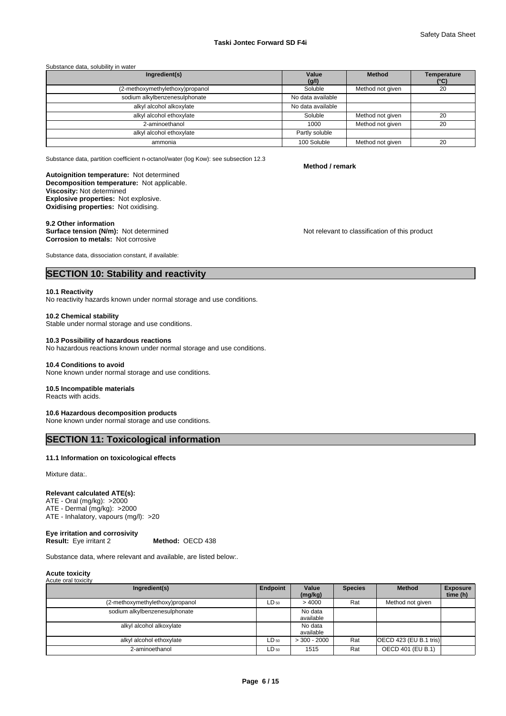#### Substance data, solubility in water

| Ingredient(s)                   | Value<br>(g/l)    | <b>Method</b>    | <b>Temperature</b><br>$(^{\circ}C)$ |
|---------------------------------|-------------------|------------------|-------------------------------------|
| (2-methoxymethylethoxy)propanol | Soluble           | Method not given | 20                                  |
| sodium alkylbenzenesulphonate   | No data available |                  |                                     |
| alkyl alcohol alkoxylate        | No data available |                  |                                     |
| alkyl alcohol ethoxylate        | Soluble           | Method not given | 20                                  |
| 2-aminoethanol                  | 1000              | Method not given | 20                                  |
| alkyl alcohol ethoxylate        | Partly soluble    |                  |                                     |
| ammonia                         | 100 Soluble       | Method not given | 20                                  |

Substance data, partition coefficient n-octanol/water (log Kow): see subsection 12.3

**Method / remark**

**Decomposition temperature:** Not applicable. **Autoignition temperature:** Not determined **Viscosity:** Not determined **Explosive properties:** Not explosive. **Oxidising properties:** Not oxidising.

9.2 Other information<br>Surface tension (N/m): Not determined **Corrosion to metals:** Not corrosive

Not relevant to classification of this product

Substance data, dissociation constant, if available:

## **SECTION 10: Stability and reactivity**

#### **10.1 Reactivity**

No reactivity hazards known under normal storage and use conditions.

#### **10.2 Chemical stability**

Stable under normal storage and use conditions.

#### **10.3 Possibility of hazardous reactions**

No hazardous reactions known under normal storage and use conditions.

#### **10.4 Conditions to avoid**

None known under normal storage and use conditions.

### **10.5 Incompatible materials**

Reacts with acids.

## **10.6 Hazardous decomposition products**

None known under normal storage and use conditions.

## **SECTION 11: Toxicological information**

#### **11.1 Information on toxicological effects**

Mixture data:.

#### **Relevant calculated ATE(s):**

ATE - Oral (mg/kg): >2000 ATE - Dermal (mg/kg): >2000 ATE - Inhalatory, vapours (mg/l): >20

### **Eye irritation and corrosivity Result:** Eye irritant 2

Substance data, where relevant and available, are listed below:.

#### **Acute toxicity** .<br>دote oral to

| walu via luxiully               |           |                      |                |                          |                             |
|---------------------------------|-----------|----------------------|----------------|--------------------------|-----------------------------|
| Ingredient(s)                   | Endpoint  | Value<br>(mg/kg)     | <b>Species</b> | <b>Method</b>            | <b>Exposure</b><br>time (h) |
| (2-methoxymethylethoxy)propanol | $LD_{50}$ | >4000                | Rat            | Method not given         |                             |
| sodium alkylbenzenesulphonate   |           | No data<br>available |                |                          |                             |
| alkyl alcohol alkoxylate        |           | No data<br>available |                |                          |                             |
| alkyl alcohol ethoxylate        | $LD_{50}$ | $>$ 300 - 2000       | Rat            | [OECD 423 (EU B.1 tris)] |                             |
| 2-aminoethanol                  | $LD_{50}$ | 1515                 | Rat            | OECD 401 (EU B.1)        |                             |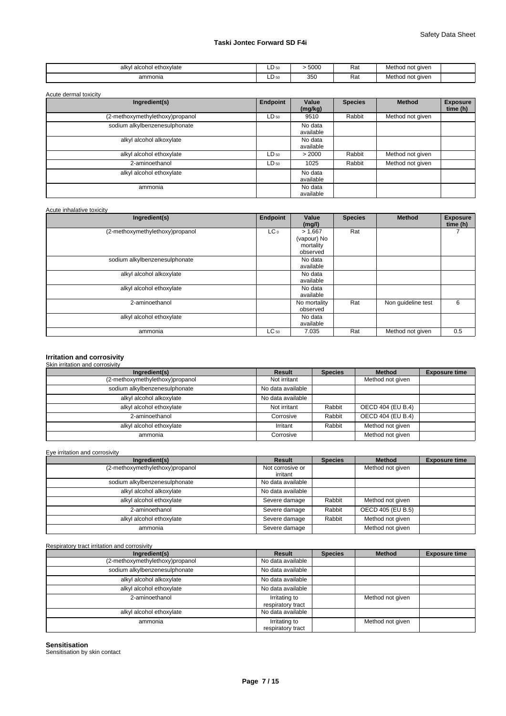| alcohol ethoxylate | $LD_{50}$ | 5000 | ⋻∼        | Method              |
|--------------------|-----------|------|-----------|---------------------|
| alkvl              |           |      | ĸa.       | not given           |
| ammonia            | $LD_{50}$ | 350  | ⋻∾<br>ĸa. | Method<br>not aiven |

Acute dermal toxicity

| Ingredient(s)                   | <b>Endpoint</b> | Value                | <b>Species</b> | <b>Method</b>    | <b>Exposure</b> |
|---------------------------------|-----------------|----------------------|----------------|------------------|-----------------|
|                                 |                 | (mg/kg)              |                |                  | time (h)        |
| (2-methoxymethylethoxy)propanol | $LD_{50}$       | 9510                 | Rabbit         | Method not given |                 |
| sodium alkylbenzenesulphonate   |                 | No data<br>available |                |                  |                 |
| alkyl alcohol alkoxylate        |                 | No data<br>available |                |                  |                 |
| alkyl alcohol ethoxylate        | $LD_{50}$       | > 2000               | Rabbit         | Method not given |                 |
| 2-aminoethanol                  | $LD_{50}$       | 1025                 | Rabbit         | Method not given |                 |
| alkyl alcohol ethoxylate        |                 | No data<br>available |                |                  |                 |
| ammonia                         |                 | No data<br>available |                |                  |                 |

| Acute inhalative toxicity       |                 |                                                 |                |                    |                             |
|---------------------------------|-----------------|-------------------------------------------------|----------------|--------------------|-----------------------------|
| Ingredient(s)                   | Endpoint        | Value<br>(mg/l)                                 | <b>Species</b> | <b>Method</b>      | <b>Exposure</b><br>time (h) |
| (2-methoxymethylethoxy)propanol | LC <sub>0</sub> | > 1.667<br>(vapour) No<br>mortality<br>observed | Rat            |                    |                             |
| sodium alkylbenzenesulphonate   |                 | No data<br>available                            |                |                    |                             |
| alkyl alcohol alkoxylate        |                 | No data<br>available                            |                |                    |                             |
| alkyl alcohol ethoxylate        |                 | No data<br>available                            |                |                    |                             |
| 2-aminoethanol                  |                 | No mortality<br>observed                        | Rat            | Non guideline test | 6                           |
| alkyl alcohol ethoxylate        |                 | No data<br>available                            |                |                    |                             |
| ammonia                         | $LC_{50}$       | 7.035                                           | Rat            | Method not given   | 0.5                         |

# **Irritation and corrosivity** Skin irritation and corrosivity

| <u>UNIT IIINUNUTI UNU VUNUSIVIIV</u> |                   |                |                   |                      |
|--------------------------------------|-------------------|----------------|-------------------|----------------------|
| Ingredient(s)                        | Result            | <b>Species</b> | <b>Method</b>     | <b>Exposure time</b> |
| (2-methoxymethylethoxy)propanol      | Not irritant      |                | Method not given  |                      |
| sodium alkylbenzenesulphonate        | No data available |                |                   |                      |
| alkyl alcohol alkoxylate             | No data available |                |                   |                      |
| alkyl alcohol ethoxylate             | Not irritant      | Rabbit         | OECD 404 (EU B.4) |                      |
| 2-aminoethanol                       | Corrosive         | Rabbit         | OECD 404 (EU B.4) |                      |
| alkyl alcohol ethoxylate             | Irritant          | Rabbit         | Method not given  |                      |
| ammonia                              | Corrosive         |                | Method not given  |                      |
|                                      |                   |                |                   |                      |

### Eye irritation and corrosivity

| Ingredient(s)                   | Result                       | <b>Species</b> | <b>Method</b>     | <b>Exposure time</b> |
|---------------------------------|------------------------------|----------------|-------------------|----------------------|
| (2-methoxymethylethoxy)propanol | Not corrosive or<br>irritant |                | Method not given  |                      |
| sodium alkylbenzenesulphonate   | No data available            |                |                   |                      |
| alkyl alcohol alkoxylate        | No data available            |                |                   |                      |
| alkyl alcohol ethoxylate        | Severe damage                | Rabbit         | Method not given  |                      |
| 2-aminoethanol                  | Severe damage                | Rabbit         | OECD 405 (EU B.5) |                      |
| alkyl alcohol ethoxylate        | Severe damage                | Rabbit         | Method not given  |                      |
| ammonia                         | Severe damage                |                | Method not given  |                      |

#### Respiratory tract irritation and corrosivity

| Ingredient(s)                   | Result                             | <b>Species</b> | <b>Method</b>    | <b>Exposure time</b> |
|---------------------------------|------------------------------------|----------------|------------------|----------------------|
| (2-methoxymethylethoxy)propanol | No data available                  |                |                  |                      |
| sodium alkylbenzenesulphonate   | No data available                  |                |                  |                      |
| alkyl alcohol alkoxylate        | No data available                  |                |                  |                      |
| alkyl alcohol ethoxylate        | No data available                  |                |                  |                      |
| 2-aminoethanol                  | Irritating to<br>respiratory tract |                | Method not given |                      |
| alkyl alcohol ethoxylate        | No data available                  |                |                  |                      |
| ammonia                         | Irritating to<br>respiratory tract |                | Method not given |                      |

**Sensitisation** Sensitisation by skin contact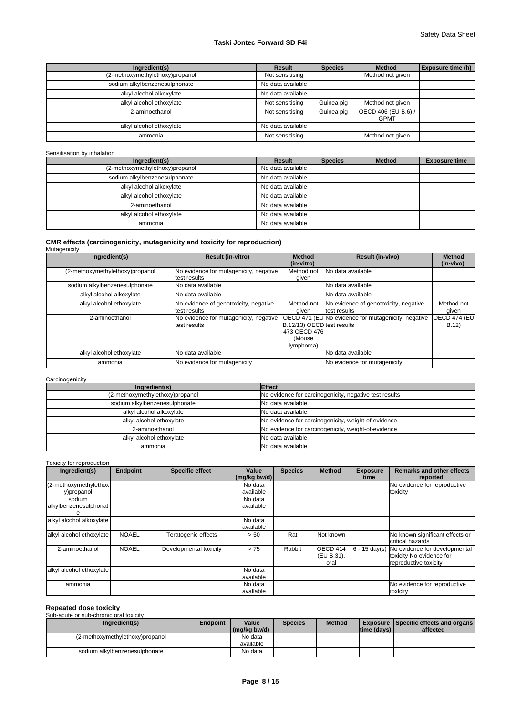| Ingredient(s)                   | Result            | <b>Species</b> | <b>Method</b>                      | <b>Exposure time (h)</b> |
|---------------------------------|-------------------|----------------|------------------------------------|--------------------------|
| (2-methoxymethylethoxy)propanol | Not sensitising   |                | Method not given                   |                          |
| sodium alkylbenzenesulphonate   | No data available |                |                                    |                          |
| alkyl alcohol alkoxylate        | No data available |                |                                    |                          |
| alkyl alcohol ethoxylate        | Not sensitising   | Guinea pig     | Method not given                   |                          |
| 2-aminoethanol                  | Not sensitising   | Guinea pig     | OECD 406 (EU B.6) /<br><b>GPMT</b> |                          |
| alkyl alcohol ethoxylate        | No data available |                |                                    |                          |
| ammonia                         | Not sensitising   |                | Method not given                   |                          |

#### Sensitisation by inhalation

| Ingredient(s)                   | Result            | <b>Species</b> | <b>Method</b> | <b>Exposure time</b> |
|---------------------------------|-------------------|----------------|---------------|----------------------|
| (2-methoxymethylethoxy)propanol | No data available |                |               |                      |
| sodium alkylbenzenesulphonate   | No data available |                |               |                      |
| alkyl alcohol alkoxylate        | No data available |                |               |                      |
| alkyl alcohol ethoxylate        | No data available |                |               |                      |
| 2-aminoethanol                  | No data available |                |               |                      |
| alkyl alcohol ethoxylate        | No data available |                |               |                      |
| ammonia                         | No data available |                |               |                      |

### **CMR effects (carcinogenicity, mutagenicity and toxicity for reproduction)**

#### **Mutagenicity Ingredient(s) Result (in-vitro) Method (in-vitro)**  Result (in-vivo) **Method (in-vivo)** (2-methoxymethylethoxy)propanol No evidence for mutagenicity, negative test results Method not given No data available sodium alkylbenzenesulphonate No data available No data available No data available alkyl alcohol alkoxylate No data available No data available alkyl alcohol ethoxylate Mo evidence of genotoxicity, negative Method r<br>given test results Method not given test results No evidence of genotoxicity, negative Method not given 2-aminoethanol No evidence for mutagenicity, negative test results OECD 471 (EU No evidence for mutagenicity, negative OECD 474 (EU) B.12/13) OECD test results 473 OECD 476 (Mouse lymphoma) OECD 474 (EU  $\overline{B}$ .12) alkyl alcohol ethoxylate No data available No data available ammonia No evidence for mutagenicity No evidence for mutagenicity

### **Carcinogenicity**

| Ingredient(s)                   | <b>Effect</b>                                          |
|---------------------------------|--------------------------------------------------------|
| (2-methoxymethylethoxy)propanol | No evidence for carcinogenicity, negative test results |
| sodium alkylbenzenesulphonate   | No data available                                      |
| alkyl alcohol alkoxylate        | No data available                                      |
| alkyl alcohol ethoxylate        | No evidence for carcinogenicity, weight-of-evidence    |
| 2-aminoethanol                  | No evidence for carcinogenicity, weight-of-evidence    |
| alkyl alcohol ethoxylate        | No data available                                      |
| ammonia                         | No data available                                      |

#### Toxicity for reproduction

| Ingredient(s)                        | <b>Endpoint</b> | <b>Specific effect</b> | Value<br>$(mg/kg)$ bw/d) | <b>Species</b> | <b>Method</b>                  | <b>Exposure</b><br>time | <b>Remarks and other effects</b><br>reported                                                     |
|--------------------------------------|-----------------|------------------------|--------------------------|----------------|--------------------------------|-------------------------|--------------------------------------------------------------------------------------------------|
| (2-methoxymethylethox)<br>y)propanol |                 |                        | No data<br>available     |                |                                |                         | No evidence for reproductive<br>toxicity                                                         |
| sodium<br>alkylbenzenesulphonat      |                 |                        | No data<br>available     |                |                                |                         |                                                                                                  |
| alkyl alcohol alkoxylate             |                 |                        | No data<br>available     |                |                                |                         |                                                                                                  |
| alkyl alcohol ethoxylate             | <b>NOAEL</b>    | Teratogenic effects    | > 50                     | Rat            | Not known                      |                         | No known significant effects or<br>critical hazards                                              |
| 2-aminoethanol                       | <b>NOAEL</b>    | Developmental toxicity | > 75                     | Rabbit         | OECD 414<br>(EU B.31),<br>oral |                         | 6 - 15 day(s) No evidence for developmental<br>toxicity No evidence for<br>reproductive toxicity |
| alkyl alcohol ethoxylate             |                 |                        | No data<br>available     |                |                                |                         |                                                                                                  |
| ammonia                              |                 |                        | No data<br>available     |                |                                |                         | No evidence for reproductive<br>toxicity                                                         |

#### **Repeated dose toxicity**

Sub-acute or sub-chronic oral toxicity

| Ingredient(s)                   | <b>Endpoint</b> | Value<br>(mg/kg bw/d) | <b>Species</b> | <b>Method</b> | time (days) | <b>Exposure   Specific effects and organs  </b><br>affected |
|---------------------------------|-----------------|-----------------------|----------------|---------------|-------------|-------------------------------------------------------------|
| (2-methoxymethylethoxy)propanol |                 | No data               |                |               |             |                                                             |
|                                 |                 | available             |                |               |             |                                                             |
| sodium alkylbenzenesulphonate   |                 | No data               |                |               |             |                                                             |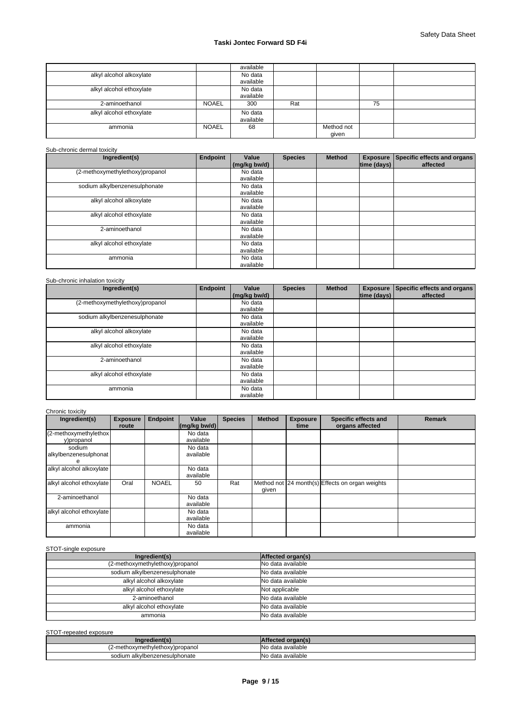|                          |              | available |     |            |    |  |
|--------------------------|--------------|-----------|-----|------------|----|--|
| alkyl alcohol alkoxylate |              | No data   |     |            |    |  |
|                          |              | available |     |            |    |  |
| alkyl alcohol ethoxylate |              | No data   |     |            |    |  |
|                          |              | available |     |            |    |  |
| 2-aminoethanol           | <b>NOAEL</b> | 300       | Rat |            | 75 |  |
| alkyl alcohol ethoxylate |              | No data   |     |            |    |  |
|                          |              | available |     |            |    |  |
| ammonia                  | <b>NOAEL</b> | 68        |     | Method not |    |  |
|                          |              |           |     | given      |    |  |

### Sub-chronic dermal toxicity

| Ingredient(s)                   | Endpoint | Value<br>(mg/kg bw/d) | <b>Species</b> | <b>Method</b> | <b>Exposure</b><br> time (days) | Specific effects and organs<br>affected |
|---------------------------------|----------|-----------------------|----------------|---------------|---------------------------------|-----------------------------------------|
| (2-methoxymethylethoxy)propanol |          | No data<br>available  |                |               |                                 |                                         |
| sodium alkylbenzenesulphonate   |          | No data<br>available  |                |               |                                 |                                         |
| alkyl alcohol alkoxylate        |          | No data<br>available  |                |               |                                 |                                         |
| alkyl alcohol ethoxylate        |          | No data<br>available  |                |               |                                 |                                         |
| 2-aminoethanol                  |          | No data<br>available  |                |               |                                 |                                         |
| alkyl alcohol ethoxylate        |          | No data<br>available  |                |               |                                 |                                         |
| ammonia                         |          | No data<br>available  |                |               |                                 |                                         |

#### Sub-chronic inhalation toxicity

| Ingredient(s)                   | Endpoint | Value<br>(mg/kg bw/d) | <b>Species</b> | <b>Method</b> | $ time$ (days) $ $ | Exposure Specific effects and organs<br>affected |
|---------------------------------|----------|-----------------------|----------------|---------------|--------------------|--------------------------------------------------|
| (2-methoxymethylethoxy)propanol |          | No data<br>available  |                |               |                    |                                                  |
| sodium alkylbenzenesulphonate   |          | No data<br>available  |                |               |                    |                                                  |
| alkyl alcohol alkoxylate        |          | No data<br>available  |                |               |                    |                                                  |
| alkyl alcohol ethoxylate        |          | No data<br>available  |                |               |                    |                                                  |
| 2-aminoethanol                  |          | No data<br>available  |                |               |                    |                                                  |
| alkyl alcohol ethoxylate        |          | No data<br>available  |                |               |                    |                                                  |
| ammonia                         |          | No data<br>available  |                |               |                    |                                                  |

#### Chronic toxicity

| Ingredient(s)            | <b>Exposure</b> | <b>Endpoint</b> | Value                                            | <b>Species</b> | <b>Method</b> | <b>Exposure</b> | Specific effects and                            | <b>Remark</b> |
|--------------------------|-----------------|-----------------|--------------------------------------------------|----------------|---------------|-----------------|-------------------------------------------------|---------------|
|                          | route           |                 | $\left \frac{\text{mg}}{\text{kg}}\right $ bw/d) |                |               | time            | organs affected                                 |               |
| (2-methoxymethylethox)   |                 |                 | No data                                          |                |               |                 |                                                 |               |
| y)propanol               |                 |                 | available                                        |                |               |                 |                                                 |               |
| sodium                   |                 |                 | No data                                          |                |               |                 |                                                 |               |
| alkylbenzenesulphonat    |                 |                 | available                                        |                |               |                 |                                                 |               |
|                          |                 |                 |                                                  |                |               |                 |                                                 |               |
| alkyl alcohol alkoxylate |                 |                 | No data                                          |                |               |                 |                                                 |               |
|                          |                 |                 | available                                        |                |               |                 |                                                 |               |
| alkyl alcohol ethoxylate | Oral            | <b>NOAEL</b>    | 50                                               | Rat            |               |                 | Method not 24 month(s) Effects on organ weights |               |
|                          |                 |                 |                                                  |                | given         |                 |                                                 |               |
| 2-aminoethanol           |                 |                 | No data                                          |                |               |                 |                                                 |               |
|                          |                 |                 | available                                        |                |               |                 |                                                 |               |
| alkyl alcohol ethoxylate |                 |                 | No data                                          |                |               |                 |                                                 |               |
|                          |                 |                 | available                                        |                |               |                 |                                                 |               |
| ammonia                  |                 |                 | No data                                          |                |               |                 |                                                 |               |
|                          |                 |                 | available                                        |                |               |                 |                                                 |               |

### STOT-single exposure

| . <u>.</u>                      |                   |
|---------------------------------|-------------------|
| Ingredient(s)                   | Affected organ(s) |
| (2-methoxymethylethoxy)propanol | No data available |
| sodium alkylbenzenesulphonate   | No data available |
| alkyl alcohol alkoxylate        | No data available |
| alkyl alcohol ethoxylate        | Not applicable    |
| 2-aminoethanol                  | No data available |
| alkyl alcohol ethoxylate        | No data available |
| ammonia                         | No data available |

## STOT-repeated exposure

| redient(s<br>ЧN,              | organis<br>™ecte⊾.             |
|-------------------------------|--------------------------------|
| -methoxymethylethoxy)propanol | <b>INo</b><br>o data available |
| sodium alkylbenzenesulphonate | <b>INo</b><br>data available د |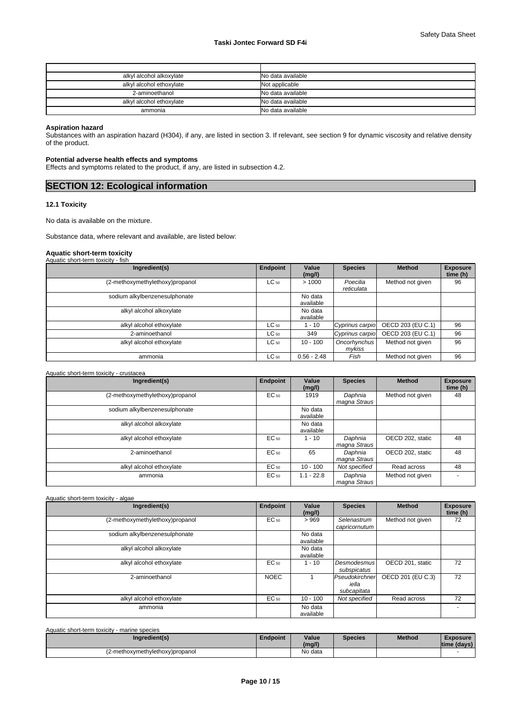| alkyl alcohol alkoxylate | No data available |
|--------------------------|-------------------|
| alkyl alcohol ethoxylate | Not applicable    |
| 2-aminoethanol           | No data available |
| alkyl alcohol ethoxylate | No data available |
| ammonia                  | No data available |

### **Aspiration hazard**

Substances with an aspiration hazard (H304), if any, are listed in section 3. If relevant, see section 9 for dynamic viscosity and relative density of the product.

#### **Potential adverse health effects and symptoms**

Effects and symptoms related to the product, if any, are listed in subsection 4.2.

## **SECTION 12: Ecological information**

#### **12.1 Toxicity**

No data is available on the mixture.

Substance data, where relevant and available, are listed below:

# **Aquatic short-term toxicity** Aquatic short-term toxicity - fish

| Ingredient(s)                   | Endpoint  | Value<br>(mg/l)      | <b>Species</b>         | <b>Method</b>     | <b>Exposure</b><br>time (h) |
|---------------------------------|-----------|----------------------|------------------------|-------------------|-----------------------------|
| (2-methoxymethylethoxy)propanol | $LC_{50}$ | >1000                | Poecilia<br>reticulata | Method not given  | 96                          |
| sodium alkylbenzenesulphonate   |           | No data<br>available |                        |                   |                             |
| alkyl alcohol alkoxylate        |           | No data<br>available |                        |                   |                             |
| alkyl alcohol ethoxylate        | $LC_{50}$ | 1 - 10               | Cyprinus carpio        | OECD 203 (EU C.1) | 96                          |
| 2-aminoethanol                  | $LC_{50}$ | 349                  | Cyprinus carpio        | OECD 203 (EU C.1) | 96                          |
| alkyl alcohol ethoxylate        | $LC_{50}$ | $10 - 100$           | Oncorhynchus<br>mykiss | Method not given  | 96                          |
| ammonia                         | $LC_{50}$ | $0.56 - 2.48$        | Fish                   | Method not given  | 96                          |

| Aquatic short-term toxicity - crustacea |          |                      |                         |                  |                             |
|-----------------------------------------|----------|----------------------|-------------------------|------------------|-----------------------------|
| Ingredient(s)                           | Endpoint | Value<br>(mg/l)      | <b>Species</b>          | <b>Method</b>    | <b>Exposure</b><br>time (h) |
| (2-methoxymethylethoxy)propanol         | EC 50    | 1919                 | Daphnia<br>magna Straus | Method not given | 48                          |
| sodium alkylbenzenesulphonate           |          | No data<br>available |                         |                  |                             |
| alkyl alcohol alkoxylate                |          | No data<br>available |                         |                  |                             |
| alkyl alcohol ethoxylate                | EC 50    | $1 - 10$             | Daphnia<br>magna Straus | OECD 202. static | 48                          |
| 2-aminoethanol                          | EC 50    | 65                   | Daphnia<br>magna Straus | OECD 202. static | 48                          |
| alkyl alcohol ethoxylate                | EC 50    | $10 - 100$           | Not specified           | Read across      | 48                          |
| ammonia                                 | EC 50    | $1.1 - 22.8$         | Daphnia<br>magna Straus | Method not given |                             |

| Aquatic short-term toxicity - algae |             |                      |                                        |                   |                             |
|-------------------------------------|-------------|----------------------|----------------------------------------|-------------------|-----------------------------|
| Ingredient(s)                       | Endpoint    | Value<br>(mg/l)      | <b>Species</b>                         | <b>Method</b>     | <b>Exposure</b><br>time (h) |
| (2-methoxymethylethoxy)propanol     | EC 50       | >969                 | Selenastrum<br>capricornutum           | Method not given  | 72                          |
| sodium alkylbenzenesulphonate       |             | No data<br>available |                                        |                   |                             |
| alkyl alcohol alkoxylate            |             | No data<br>available |                                        |                   |                             |
| alkyl alcohol ethoxylate            | EC 50       | $1 - 10$             | <b>Desmodesmus</b><br>subspicatus      | OECD 201. static  | 72                          |
| 2-aminoethanol                      | <b>NOEC</b> |                      | Pseudokirchner<br>iella<br>subcapitata | OECD 201 (EU C.3) | 72                          |
| alkyl alcohol ethoxylate            | $EC_{50}$   | $10 - 100$           | Not specified                          | Read across       | 72                          |
| ammonia                             |             | No data<br>available |                                        |                   | $\overline{\phantom{a}}$    |

| Aquatic short-term toxicity - marine species |                 |                 |                |               |                                |
|----------------------------------------------|-----------------|-----------------|----------------|---------------|--------------------------------|
| Ingredient(s)                                | <b>Endpoint</b> | Value<br>(mg/l) | <b>Species</b> | <b>Method</b> | <b>Exposure</b><br>time (davs) |
| (2-methoxymethylethoxy)propanol              |                 | No data         |                |               |                                |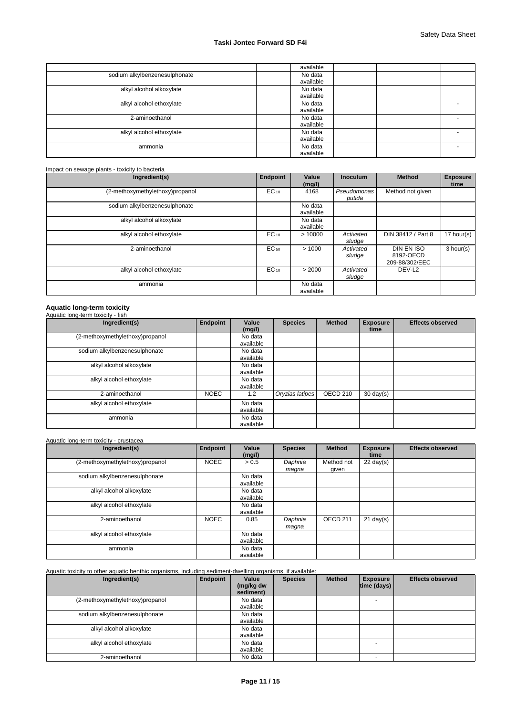|                               | available            |  |   |
|-------------------------------|----------------------|--|---|
| sodium alkylbenzenesulphonate | No data<br>available |  |   |
| alkyl alcohol alkoxylate      | No data<br>available |  |   |
| alkyl alcohol ethoxylate      | No data<br>available |  | ۰ |
| 2-aminoethanol                | No data<br>available |  |   |
| alkyl alcohol ethoxylate      | No data<br>available |  |   |
| ammonia                       | No data<br>available |  |   |

#### Impact on sewage plants - toxicity to bacteria

| Ingredient(s)                   | Endpoint  | Value<br>(mg/l)      | <b>Inoculum</b>       | <b>Method</b>                             | <b>Exposure</b><br>time |
|---------------------------------|-----------|----------------------|-----------------------|-------------------------------------------|-------------------------|
| (2-methoxymethylethoxy)propanol | $EC_{10}$ | 4168                 | Pseudomonas<br>putida | Method not given                          |                         |
| sodium alkylbenzenesulphonate   |           | No data<br>available |                       |                                           |                         |
| alkyl alcohol alkoxylate        |           | No data<br>available |                       |                                           |                         |
| alkyl alcohol ethoxylate        | $EC_{10}$ | >10000               | Activated<br>sludge   | DIN 38412 / Part 8                        | 17 hour(s)              |
| 2-aminoethanol                  | EC 50     | >1000                | Activated<br>sludge   | DIN EN ISO<br>8192-OECD<br>209-88/302/EEC | 3 hour(s)               |
| alkyl alcohol ethoxylate        | $EC_{10}$ | > 2000               | Activated<br>sludge   | DEV-L <sub>2</sub>                        |                         |
| ammonia                         |           | No data<br>available |                       |                                           |                         |

# **Aquatic long-term toxicity** Aquatic long-term toxicity - fish

| Ingredient(s)                   | Endpoint    | Value<br>(mg/l)      | <b>Species</b>  | <b>Method</b> | <b>Exposure</b><br>time | <b>Effects observed</b> |
|---------------------------------|-------------|----------------------|-----------------|---------------|-------------------------|-------------------------|
| (2-methoxymethylethoxy)propanol |             | No data<br>available |                 |               |                         |                         |
| sodium alkylbenzenesulphonate   |             | No data<br>available |                 |               |                         |                         |
| alkyl alcohol alkoxylate        |             | No data<br>available |                 |               |                         |                         |
| alkyl alcohol ethoxylate        |             | No data<br>available |                 |               |                         |                         |
| 2-aminoethanol                  | <b>NOEC</b> | 1.2                  | Oryzias latipes | OECD 210      | $30 \text{ day}(s)$     |                         |
| alkyl alcohol ethoxylate        |             | No data<br>available |                 |               |                         |                         |
| ammonia                         |             | No data<br>available |                 |               |                         |                         |

#### Aquatic long-term toxicity - crustacea

| Ingredient(s)                   | Endpoint    | Value<br>(mg/l)      | <b>Species</b>   | <b>Method</b>       | <b>Exposure</b><br>time | <b>Effects observed</b> |
|---------------------------------|-------------|----------------------|------------------|---------------------|-------------------------|-------------------------|
| (2-methoxymethylethoxy)propanol | <b>NOEC</b> | > 0.5                | Daphnia<br>magna | Method not<br>given | $22 \text{ day}(s)$     |                         |
| sodium alkylbenzenesulphonate   |             | No data<br>available |                  |                     |                         |                         |
| alkyl alcohol alkoxylate        |             | No data<br>available |                  |                     |                         |                         |
| alkyl alcohol ethoxylate        |             | No data<br>available |                  |                     |                         |                         |
| 2-aminoethanol                  | <b>NOEC</b> | 0.85                 | Daphnia<br>magna | OECD <sub>211</sub> | $21 \text{ day}(s)$     |                         |
| alkyl alcohol ethoxylate        |             | No data<br>available |                  |                     |                         |                         |
| ammonia                         |             | No data<br>available |                  |                     |                         |                         |

## Aquatic toxicity to other aquatic benthic organisms, including sediment-dwelling organisms, if available:

| Ingredient(s)                   | Endpoint | Value<br>(mg/kg dw<br>sediment) | <b>Species</b> | <b>Method</b> | <b>Exposure</b><br> time (days) | <b>Effects observed</b> |
|---------------------------------|----------|---------------------------------|----------------|---------------|---------------------------------|-------------------------|
| (2-methoxymethylethoxy)propanol |          | No data                         |                |               |                                 |                         |
|                                 |          | available                       |                |               |                                 |                         |
| sodium alkylbenzenesulphonate   |          | No data                         |                |               |                                 |                         |
|                                 |          | available                       |                |               |                                 |                         |
| alkyl alcohol alkoxylate        |          | No data                         |                |               |                                 |                         |
|                                 |          | available                       |                |               |                                 |                         |
| alkyl alcohol ethoxylate        |          | No data                         |                |               |                                 |                         |
|                                 |          | available                       |                |               |                                 |                         |
| 2-aminoethanol                  |          | No data                         |                |               |                                 |                         |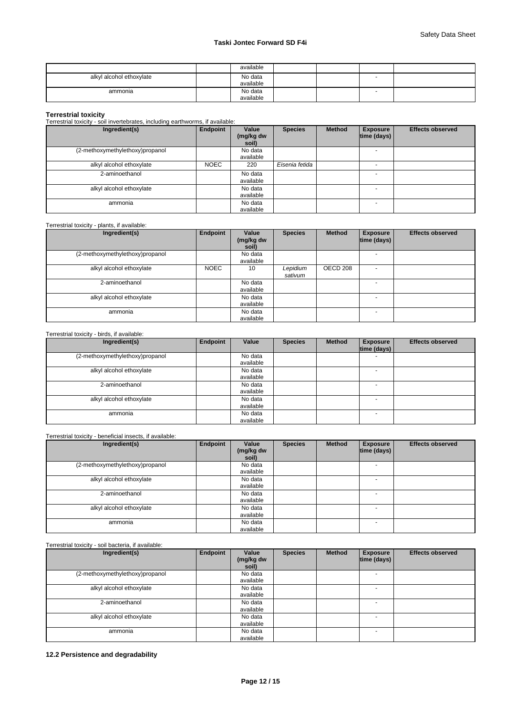|                          | available |  |  |
|--------------------------|-----------|--|--|
| alkyl alcohol ethoxylate | No data   |  |  |
|                          | available |  |  |
| ammonia                  | No data   |  |  |
|                          | available |  |  |

**Terrestrial toxicity** Terrestrial toxicity - soil invertebrates, including earthworms, if available:

| Ingredient(s)                   | Endpoint    | Value<br>(mg/kg dw<br>soil) | <b>Species</b> | <b>Method</b> | <b>Exposure</b><br> time (days) | <b>Effects observed</b> |
|---------------------------------|-------------|-----------------------------|----------------|---------------|---------------------------------|-------------------------|
| (2-methoxymethylethoxy)propanol |             | No data<br>available        |                |               |                                 |                         |
| alkyl alcohol ethoxylate        | <b>NOEC</b> | 220                         | Eisenia fetida |               | <b>.</b>                        |                         |
| 2-aminoethanol                  |             | No data<br>available        |                |               | $\overline{\phantom{a}}$        |                         |
| alkyl alcohol ethoxylate        |             | No data<br>available        |                |               | <b>.</b>                        |                         |
| ammonia                         |             | No data<br>available        |                |               | $\overline{\phantom{a}}$        |                         |

#### Terrestrial toxicity - plants, if available:

| Ingredient(s)                   | Endpoint    | Value<br>(mg/kg dw<br>soil) | <b>Species</b>      | <b>Method</b>       | <b>Exposure</b><br>time (days) | <b>Effects observed</b> |
|---------------------------------|-------------|-----------------------------|---------------------|---------------------|--------------------------------|-------------------------|
| (2-methoxymethylethoxy)propanol |             | No data<br>available        |                     |                     |                                |                         |
| alkyl alcohol ethoxylate        | <b>NOEC</b> | 10                          | Lepidium<br>sativum | OECD <sub>208</sub> | ٠                              |                         |
| 2-aminoethanol                  |             | No data<br>available        |                     |                     |                                |                         |
| alkyl alcohol ethoxylate        |             | No data<br>available        |                     |                     |                                |                         |
| ammonia                         |             | No data<br>available        |                     |                     | $\sim$                         |                         |

#### Terrestrial toxicity - birds, if available:

| Ingredient(s)                   | Endpoint | Value                | <b>Species</b> | <b>Method</b> | <b>Exposure</b><br> time (days) | <b>Effects observed</b> |
|---------------------------------|----------|----------------------|----------------|---------------|---------------------------------|-------------------------|
| (2-methoxymethylethoxy)propanol |          | No data<br>available |                |               |                                 |                         |
| alkyl alcohol ethoxylate        |          | No data<br>available |                |               |                                 |                         |
| 2-aminoethanol                  |          | No data<br>available |                |               | <b>.</b>                        |                         |
| alkyl alcohol ethoxylate        |          | No data<br>available |                |               |                                 |                         |
| ammonia                         |          | No data<br>available |                |               |                                 |                         |

#### Terrestrial toxicity - beneficial insects, if available:

| Ingredient(s)                   | Endpoint | Value<br>(mg/kg dw<br>soil) | <b>Species</b> | <b>Method</b> | <b>Exposure</b><br> time (days) | <b>Effects observed</b> |
|---------------------------------|----------|-----------------------------|----------------|---------------|---------------------------------|-------------------------|
| (2-methoxymethylethoxy)propanol |          | No data                     |                |               |                                 |                         |
|                                 |          | available                   |                |               |                                 |                         |
| alkyl alcohol ethoxylate        |          | No data                     |                |               |                                 |                         |
|                                 |          | available                   |                |               |                                 |                         |
| 2-aminoethanol                  |          | No data                     |                |               |                                 |                         |
|                                 |          | available                   |                |               |                                 |                         |
| alkyl alcohol ethoxylate        |          | No data                     |                |               |                                 |                         |
|                                 |          | available                   |                |               |                                 |                         |
| ammonia                         |          | No data                     |                |               | $\sim$                          |                         |
|                                 |          | available                   |                |               |                                 |                         |

## Terrestrial toxicity - soil bacteria, if available:

| Ingredient(s)                   | Endpoint | Value<br>(mg/kg dw<br>soil) | <b>Species</b> | <b>Method</b> | <b>Exposure</b><br> time (days) | <b>Effects observed</b> |
|---------------------------------|----------|-----------------------------|----------------|---------------|---------------------------------|-------------------------|
| (2-methoxymethylethoxy)propanol |          | No data<br>available        |                |               |                                 |                         |
| alkyl alcohol ethoxylate        |          | No data<br>available        |                |               | $\overline{\phantom{a}}$        |                         |
| 2-aminoethanol                  |          | No data<br>available        |                |               | $\overline{a}$                  |                         |
| alkyl alcohol ethoxylate        |          | No data<br>available        |                |               | $\overline{\phantom{a}}$        |                         |
| ammonia                         |          | No data<br>available        |                |               | $\overline{\phantom{a}}$        |                         |

**12.2 Persistence and degradability**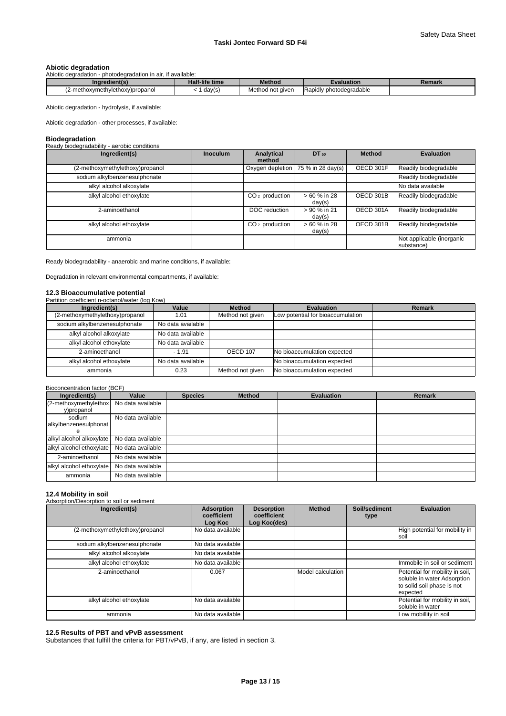**Abiotic degradation** Abiotic degradation - photodegradation in air, if available:

| Inai                          | 10.110<br>-life time<br>aau - | <b>Methog</b>                             | <b>valuation</b>                                   | Remark |
|-------------------------------|-------------------------------|-------------------------------------------|----------------------------------------------------|--------|
| -methoxymethylethoxy)propanol | day(s)                        | Method<br>l not giver<br>.<br>___<br>$-1$ | , photodegradable .<br><b>IRapidly</b><br>- 1<br>. |        |

Abiotic degradation - hydrolysis, if available:

Abiotic degradation - other processes, if available:

**Biodegradation** Ready biodegradability - aerobic conditions

| Ingredient(s)                   | Inoculum | Analytical<br>method | DT 50                  | <b>Method</b> | <b>Evaluation</b>                       |
|---------------------------------|----------|----------------------|------------------------|---------------|-----------------------------------------|
| (2-methoxymethylethoxy)propanol |          | Oxygen depletion     | 75 % in 28 day(s)      | OECD 301F     | Readily biodegradable                   |
| sodium alkylbenzenesulphonate   |          |                      |                        |               | Readily biodegradable                   |
| alkyl alcohol alkoxylate        |          |                      |                        |               | No data available                       |
| alkyl alcohol ethoxylate        |          | $CO2$ production     | > 60 % in 28<br>day(s) | OECD 301B     | Readily biodegradable                   |
| 2-aminoethanol                  |          | DOC reduction        | > 90 % in 21<br>day(s) | OECD 301A     | Readily biodegradable                   |
| alkyl alcohol ethoxylate        |          | $CO2$ production     | > 60 % in 28<br>day(s) | OECD 301B     | Readily biodegradable                   |
| ammonia                         |          |                      |                        |               | Not applicable (inorganic<br>substance) |

Ready biodegradability - anaerobic and marine conditions, if available:

Degradation in relevant environmental compartments, if available:

#### **12.3 Bioaccumulative potential** Partition coefficient n-octanol/water (log Kow)

| annon coomoloni il colditoli mator (log rio ili) |                   |                  |                                   |               |
|--------------------------------------------------|-------------------|------------------|-----------------------------------|---------------|
| Ingredient(s)                                    | Value             | <b>Method</b>    | <b>Evaluation</b>                 | <b>Remark</b> |
| (2-methoxymethylethoxy)propanol                  | 1.01              | Method not given | Low potential for bioaccumulation |               |
| sodium alkylbenzenesulphonate                    | No data available |                  |                                   |               |
| alkyl alcohol alkoxylate                         | No data available |                  |                                   |               |
| alkyl alcohol ethoxylate                         | No data available |                  |                                   |               |
| 2-aminoethanol                                   | $-1.91$           | OECD 107         | No bioaccumulation expected       |               |
| alkyl alcohol ethoxylate                         | No data available |                  | No bioaccumulation expected       |               |
| ammonia                                          | 0.23              | Method not given | No bioaccumulation expected       |               |

### Bioconcentration factor (BCF)

| Ingredient(s)                        | Value             | <b>Species</b> | <b>Method</b> | <b>Evaluation</b> | <b>Remark</b> |
|--------------------------------------|-------------------|----------------|---------------|-------------------|---------------|
| (2-methoxymethylethox)<br>y)propanol | No data available |                |               |                   |               |
| sodium<br>alkylbenzenesulphonat<br>е | No data available |                |               |                   |               |
| alkyl alcohol alkoxylate             | No data available |                |               |                   |               |
| alkyl alcohol ethoxylate             | No data available |                |               |                   |               |
| 2-aminoethanol                       | No data available |                |               |                   |               |
| alkyl alcohol ethoxylate             | No data available |                |               |                   |               |
| ammonia                              | No data available |                |               |                   |               |

#### **12.4 Mobility in soil**

Adsorption/Desorption to soil or sediment

| Ingredient(s)                   | <b>Adsorption</b><br>coefficient<br>Log Koc | <b>Desorption</b><br>coefficient<br>Log Koc(des) | <b>Method</b>     | Soil/sediment<br>type | <b>Evaluation</b>                                                                                        |
|---------------------------------|---------------------------------------------|--------------------------------------------------|-------------------|-----------------------|----------------------------------------------------------------------------------------------------------|
| (2-methoxymethylethoxy)propanol | No data available                           |                                                  |                   |                       | High potential for mobility in<br>soil                                                                   |
| sodium alkylbenzenesulphonate   | No data available                           |                                                  |                   |                       |                                                                                                          |
| alkyl alcohol alkoxylate        | No data available                           |                                                  |                   |                       |                                                                                                          |
| alkyl alcohol ethoxylate        | No data available                           |                                                  |                   |                       | Immobile in soil or sediment                                                                             |
| 2-aminoethanol                  | 0.067                                       |                                                  | Model calculation |                       | Potential for mobility in soil,<br>soluble in water Adsorption<br>to solid soil phase is not<br>expected |
| alkyl alcohol ethoxylate        | No data available                           |                                                  |                   |                       | Potential for mobility in soil,<br>soluble in water                                                      |
| ammonia                         | No data available                           |                                                  |                   |                       | Low mobillity in soil                                                                                    |

#### **12.5 Results of PBT and vPvB assessment**

Substances that fulfill the criteria for PBT/vPvB, if any, are listed in section 3.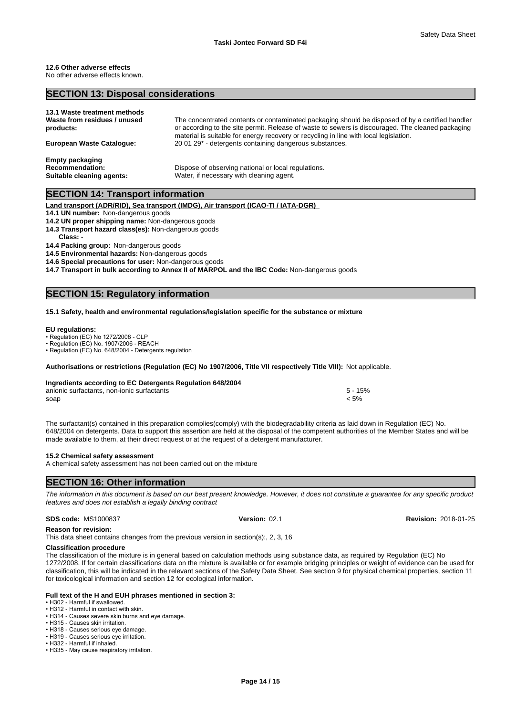#### Safety Data Sheet

#### **12.6 Other adverse effects** No other adverse effects known.

## **SECTION 13: Disposal considerations**

| 13.1 Waste treatment methods |                                                                                                   |
|------------------------------|---------------------------------------------------------------------------------------------------|
| Waste from residues / unused | The concentrated contents or contaminated packaging should be disposed of by a certified handler  |
| products:                    | or according to the site permit. Release of waste to sewers is discouraged. The cleaned packaging |
|                              | material is suitable for energy recovery or recycling in line with local legislation.             |
| European Waste Catalogue:    | 20 01 29 <sup>*</sup> - detergents containing dangerous substances.                               |
| <b>Empty packaging</b>       |                                                                                                   |
| <b>Recommendation:</b>       | Dispose of observing national or local regulations.                                               |
| Suitable cleaning agents:    | Water, if necessary with cleaning agent.                                                          |

## **SECTION 14: Transport information**

**Land transport (ADR/RID), Sea transport (IMDG), Air transport (ICAO-TI / IATA-DGR)** 

**14.1 UN number:** Non-dangerous goods

### **14.2 UN proper shipping name:** Non-dangerous goods

**14.3 Transport hazard class(es):** Non-dangerous goods

**Class:** -

**14.4 Packing group:** Non-dangerous goods

**14.5 Environmental hazards:** Non-dangerous goods

**14.6 Special precautions for user:** Non-dangerous goods

**14.7 Transport in bulk according to Annex II of MARPOL and the IBC Code:** Non-dangerous goods

## **SECTION 15: Regulatory information**

#### **15.1 Safety, health and environmental regulations/legislation specific for the substance or mixture**

#### **EU regulations:**

• Regulation (EC) No 1272/2008 - CLP

• Regulation (EC) No. 1907/2006 - REACH

• Regulation (EC) No. 648/2004 - Detergents regulation

**Authorisations or restrictions (Regulation (EC) No 1907/2006, Title VII respectively Title VIII):** Not applicable.

#### **Ingredients according to EC Detergents Regulation 648/2004**

| anionic surfactants, non-ionic surfactants | $1 - 0$<br>15% |
|--------------------------------------------|----------------|
| soap                                       | 5%             |

The surfactant(s) contained in this preparation complies(comply) with the biodegradability criteria as laid down in Regulation (EC) No. 648/2004 on detergents. Data to support this assertion are held at the disposal of the competent authorities of the Member States and will be made available to them, at their direct request or at the request of a detergent manufacturer.

#### **15.2 Chemical safety assessment**

A chemical safety assessment has not been carried out on the mixture

## **SECTION 16: Other information**

*The information in this document is based on our best present knowledge. However, it does not constitute a guarantee for any specific product features and does not establish a legally binding contract*

#### **SDS code:** MS1000837 **Version:** 02.1 **Revision:** 2018-01-25

**Reason for revision:** This data sheet contains changes from the previous version in section(s):, 2, 3, 16

#### **Classification procedure**

The classification of the mixture is in general based on calculation methods using substance data, as required by Regulation (EC) No 1272/2008. If for certain classifications data on the mixture is available or for example bridging principles or weight of evidence can be used for classification, this will be indicated in the relevant sections of the Safety Data Sheet. See section 9 for physical chemical properties, section 11 for toxicological information and section 12 for ecological information.

#### **Full text of the H and EUH phrases mentioned in section 3:**

#### • H302 - Harmful if swallowed. • H312 - Harmful in contact with skin.

- H314 Causes severe skin burns and eye damage.
- H315 Causes skin irritation.
- H318 Causes serious eye damage.
- H319 Causes serious eye irritation.
- H332 Harmful if inhaled.
- H335 May cause respiratory irritation.